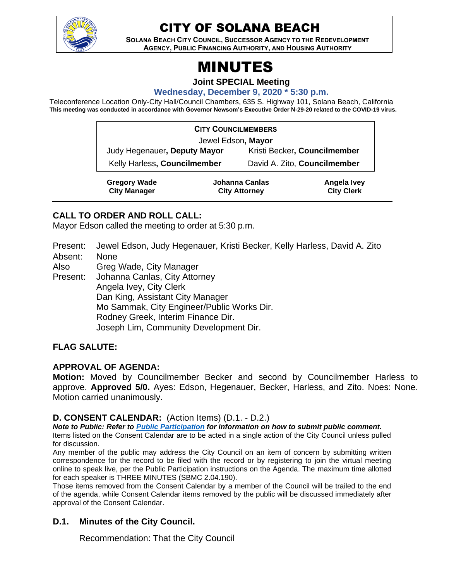

# CITY OF SOLANA BEACH

**SOLANA BEACH CITY COUNCIL, SUCCESSOR AGENCY TO THE REDEVELOPMENT AGENCY, PUBLIC FINANCING AUTHORITY, AND HOUSING AUTHORITY** 

# MINUTES

**Joint SPECIAL Meeting**

**Wednesday, December 9, 2020 \* 5:30 p.m.**

Teleconference Location Only-City Hall/Council Chambers, 635 S. Highway 101, Solana Beach, California **This meeting was conducted in accordance with Governor Newsom's Executive Order N-29-20 related to the COVID-19 virus.**

| <b>CITY COUNCILMEMBERS</b>                 |                                        |                              |                                  |  |  |
|--------------------------------------------|----------------------------------------|------------------------------|----------------------------------|--|--|
| Jewel Edson, Mayor                         |                                        |                              |                                  |  |  |
| Judy Hegenauer, Deputy Mayor               |                                        | Kristi Becker, Councilmember |                                  |  |  |
| Kelly Harless, Councilmember               |                                        | David A. Zito, Councilmember |                                  |  |  |
| <b>Gregory Wade</b><br><b>City Manager</b> | Johanna Canlas<br><b>City Attorney</b> |                              | Angela Ivey<br><b>City Clerk</b> |  |  |

# **CALL TO ORDER AND ROLL CALL:**

Mayor Edson called the meeting to order at 5:30 p.m.

Present: Jewel Edson, Judy Hegenauer, Kristi Becker, Kelly Harless, David A. Zito Absent: None

Also Greg Wade, City Manager

Present: Johanna Canlas, City Attorney Angela Ivey, City Clerk Dan King, Assistant City Manager Mo Sammak, City Engineer/Public Works Dir. Rodney Greek, Interim Finance Dir. Joseph Lim, Community Development Dir.

# **FLAG SALUTE:**

### **APPROVAL OF AGENDA:**

**Motion:** Moved by Councilmember Becker and second by Councilmember Harless to approve. **Approved 5/0.** Ayes: Edson, Hegenauer, Becker, Harless, and Zito. Noes: None. Motion carried unanimously.

### **D. CONSENT CALENDAR:** (Action Items) (D.1. - D.2.)

*Note to Public: Refer to Public Participation for information on how to submit public comment.* 

Items listed on the Consent Calendar are to be acted in a single action of the City Council unless pulled for discussion.

Any member of the public may address the City Council on an item of concern by submitting written correspondence for the record to be filed with the record or by registering to join the virtual meeting online to speak live, per the Public Participation instructions on the Agenda. The maximum time allotted for each speaker is THREE MINUTES (SBMC 2.04.190).

Those items removed from the Consent Calendar by a member of the Council will be trailed to the end of the agenda, while Consent Calendar items removed by the public will be discussed immediately after approval of the Consent Calendar.

### **D.1. Minutes of the City Council.**

Recommendation: That the City Council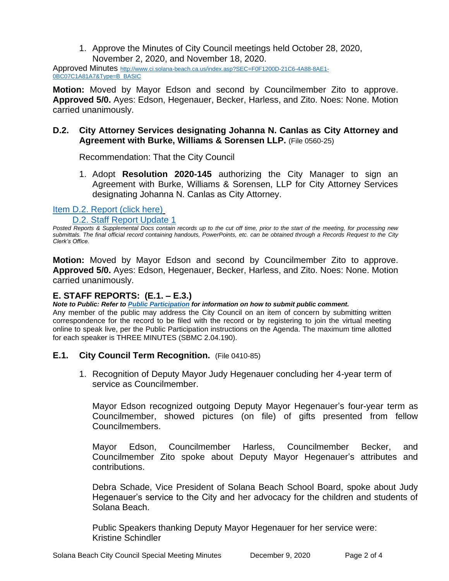1. Approve the Minutes of City Council meetings held October 28, 2020, November 2, 2020, and November 18, 2020.

Approved Minutes [http://www.ci.solana-beach.ca.us/index.asp?SEC=F0F1200D-21C6-4A88-8AE1-](http://www.ci.solana-beach.ca.us/index.asp?SEC=F0F1200D-21C6-4A88-8AE1-0BC07C1A81A7&Type=B_BASIC) [0BC07C1A81A7&Type=B\\_BASIC](http://www.ci.solana-beach.ca.us/index.asp?SEC=F0F1200D-21C6-4A88-8AE1-0BC07C1A81A7&Type=B_BASIC)

**Motion:** Moved by Mayor Edson and second by Councilmember Zito to approve. **Approved 5/0.** Ayes: Edson, Hegenauer, Becker, Harless, and Zito. Noes: None. Motion carried unanimously.

### **D.2. City Attorney Services designating Johanna N. Canlas as City Attorney and Agreement with Burke, Williams & Sorensen LLP.** (File 0560-25)

Recommendation: That the City Council

1. Adopt **Resolution 2020-145** authorizing the City Manager to sign an Agreement with Burke, Williams & Sorensen, LLP for City Attorney Services designating Johanna N. Canlas as City Attorney.

### [Item D.2. Report \(click here\)](https://solanabeach.govoffice3.com/vertical/Sites/%7B840804C2-F869-4904-9AE3-720581350CE7%7D/uploads/Item_D.2._Report_(click_here)_12-09-20_-_O.pdf)

#### [D.2. Staff Report Update 1](https://solanabeach.govoffice3.com/vertical/Sites/%7B840804C2-F869-4904-9AE3-720581350CE7%7D/uploads/D.2._Staff_Report_Update_1_-_O.pdf)

*Posted Reports & Supplemental Docs contain records up to the cut off time, prior to the start of the meeting, for processing new submittals. The final official record containing handouts, PowerPoints, etc. can be obtained through a Records Request to the City Clerk's Office.*

**Motion:** Moved by Mayor Edson and second by Councilmember Zito to approve. **Approved 5/0.** Ayes: Edson, Hegenauer, Becker, Harless, and Zito. Noes: None. Motion carried unanimously.

## **E. STAFF REPORTS: (E.1. – E.3.)**

*Note to Public: Refer to Public Participation for information on how to submit public comment.* 

Any member of the public may address the City Council on an item of concern by submitting written correspondence for the record to be filed with the record or by registering to join the virtual meeting online to speak live, per the Public Participation instructions on the Agenda. The maximum time allotted for each speaker is THREE MINUTES (SBMC 2.04.190).

### **E.1. City Council Term Recognition.** (File 0410-85)

1. Recognition of Deputy Mayor Judy Hegenauer concluding her 4-year term of service as Councilmember.

Mayor Edson recognized outgoing Deputy Mayor Hegenauer's four-year term as Councilmember, showed pictures (on file) of gifts presented from fellow Councilmembers.

Mayor Edson, Councilmember Harless, Councilmember Becker, and Councilmember Zito spoke about Deputy Mayor Hegenauer's attributes and contributions.

Debra Schade, Vice President of Solana Beach School Board, spoke about Judy Hegenauer's service to the City and her advocacy for the children and students of Solana Beach.

Public Speakers thanking Deputy Mayor Hegenauer for her service were: Kristine Schindler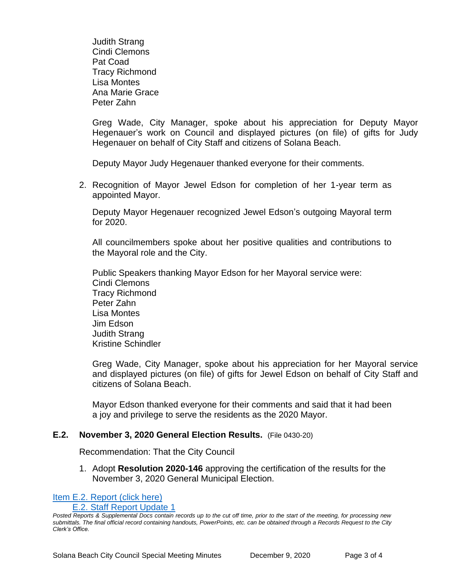Judith Strang Cindi Clemons Pat Coad Tracy Richmond Lisa Montes Ana Marie Grace Peter Zahn

Greg Wade, City Manager, spoke about his appreciation for Deputy Mayor Hegenauer's work on Council and displayed pictures (on file) of gifts for Judy Hegenauer on behalf of City Staff and citizens of Solana Beach.

Deputy Mayor Judy Hegenauer thanked everyone for their comments.

2. Recognition of Mayor Jewel Edson for completion of her 1-year term as appointed Mayor.

Deputy Mayor Hegenauer recognized Jewel Edson's outgoing Mayoral term for 2020.

All councilmembers spoke about her positive qualities and contributions to the Mayoral role and the City.

Public Speakers thanking Mayor Edson for her Mayoral service were: Cindi Clemons Tracy Richmond Peter Zahn Lisa Montes Jim Edson Judith Strang Kristine Schindler

Greg Wade, City Manager, spoke about his appreciation for her Mayoral service and displayed pictures (on file) of gifts for Jewel Edson on behalf of City Staff and citizens of Solana Beach.

Mayor Edson thanked everyone for their comments and said that it had been a joy and privilege to serve the residents as the 2020 Mayor.

#### **E.2. November 3, 2020 General Election Results.** (File 0430-20)

Recommendation: That the City Council

1. Adopt **Resolution 2020-146** approving the certification of the results for the November 3, 2020 General Municipal Election.

[Item E.2. Report](https://solanabeach.govoffice3.com/vertical/Sites/%7B840804C2-F869-4904-9AE3-720581350CE7%7D/uploads/Item_E.2._Report_(click_here)_12-09-20_-_O.pdf) (click here)

[E.2. Staff Report Update 1](https://solanabeach.govoffice3.com/vertical/Sites/%7B840804C2-F869-4904-9AE3-720581350CE7%7D/uploads/E.2._Staff_Report_Update_1_-_O.pdf)

*Posted Reports & Supplemental Docs contain records up to the cut off time, prior to the start of the meeting, for processing new submittals. The final official record containing handouts, PowerPoints, etc. can be obtained through a Records Request to the City Clerk's Office.*